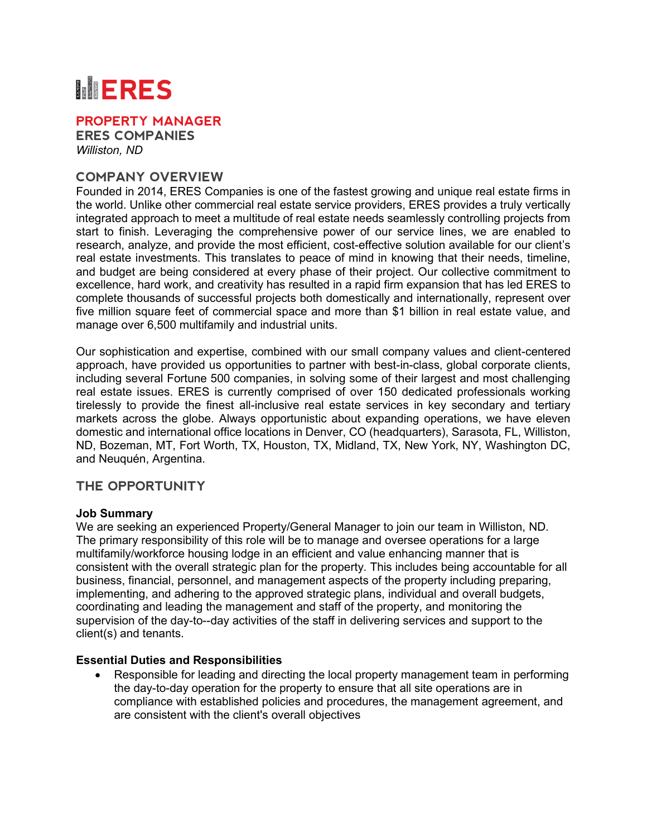# **MERES**

**PROPERTY MANAGER**

**ERES COMPANIES** *Williston, ND*

## **COMPANY OVERVIEW**

Founded in 2014, ERES Companies is one of the fastest growing and unique real estate firms in the world. Unlike other commercial real estate service providers, ERES provides a truly vertically integrated approach to meet a multitude of real estate needs seamlessly controlling projects from start to finish. Leveraging the comprehensive power of our service lines, we are enabled to research, analyze, and provide the most efficient, cost-effective solution available for our client's real estate investments. This translates to peace of mind in knowing that their needs, timeline, and budget are being considered at every phase of their project. Our collective commitment to excellence, hard work, and creativity has resulted in a rapid firm expansion that has led ERES to complete thousands of successful projects both domestically and internationally, represent over five million square feet of commercial space and more than \$1 billion in real estate value, and manage over 6,500 multifamily and industrial units.

Our sophistication and expertise, combined with our small company values and client-centered approach, have provided us opportunities to partner with best-in-class, global corporate clients, including several Fortune 500 companies, in solving some of their largest and most challenging real estate issues. ERES is currently comprised of over 150 dedicated professionals working tirelessly to provide the finest all-inclusive real estate services in key secondary and tertiary markets across the globe. Always opportunistic about expanding operations, we have eleven domestic and international office locations in Denver, CO (headquarters), Sarasota, FL, Williston, ND, Bozeman, MT, Fort Worth, TX, Houston, TX, Midland, TX, New York, NY, Washington DC, and Neuquén, Argentina.

### **THE OPPORTUNITY**

### **Job Summary**

We are seeking an experienced Property/General Manager to join our team in Williston, ND. The primary responsibility of this role will be to manage and oversee operations for a large multifamily/workforce housing lodge in an efficient and value enhancing manner that is consistent with the overall strategic plan for the property. This includes being accountable for all business, financial, personnel, and management aspects of the property including preparing, implementing, and adhering to the approved strategic plans, individual and overall budgets, coordinating and leading the management and staff of the property, and monitoring the supervision of the day-to--day activities of the staff in delivering services and support to the client(s) and tenants.

### **Essential Duties and Responsibilities**

• Responsible for leading and directing the local property management team in performing the day-to-day operation for the property to ensure that all site operations are in compliance with established policies and procedures, the management agreement, and are consistent with the client's overall objectives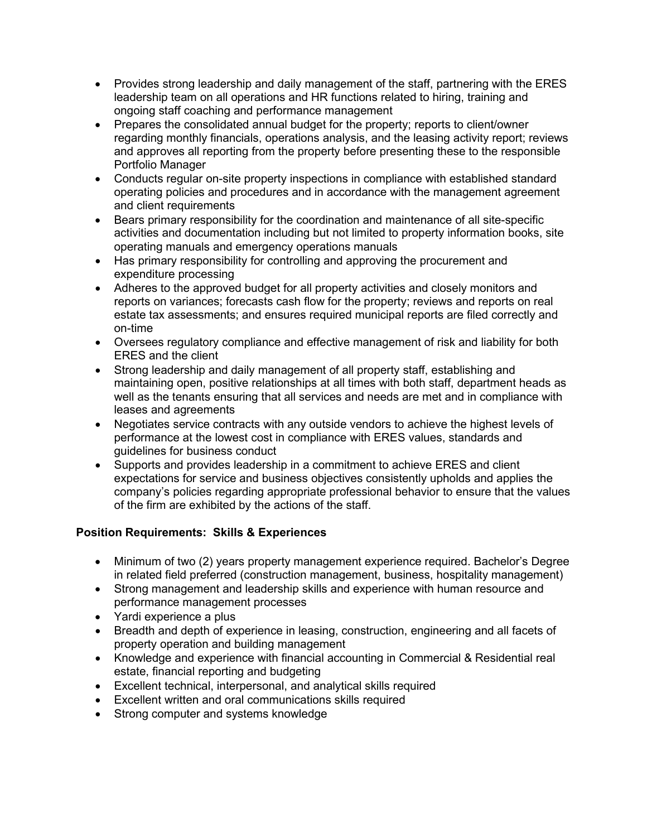- Provides strong leadership and daily management of the staff, partnering with the ERES leadership team on all operations and HR functions related to hiring, training and ongoing staff coaching and performance management
- Prepares the consolidated annual budget for the property; reports to client/owner regarding monthly financials, operations analysis, and the leasing activity report; reviews and approves all reporting from the property before presenting these to the responsible Portfolio Manager
- Conducts regular on-site property inspections in compliance with established standard operating policies and procedures and in accordance with the management agreement and client requirements
- Bears primary responsibility for the coordination and maintenance of all site-specific activities and documentation including but not limited to property information books, site operating manuals and emergency operations manuals
- Has primary responsibility for controlling and approving the procurement and expenditure processing
- Adheres to the approved budget for all property activities and closely monitors and reports on variances; forecasts cash flow for the property; reviews and reports on real estate tax assessments; and ensures required municipal reports are filed correctly and on-time
- Oversees regulatory compliance and effective management of risk and liability for both ERES and the client
- Strong leadership and daily management of all property staff, establishing and maintaining open, positive relationships at all times with both staff, department heads as well as the tenants ensuring that all services and needs are met and in compliance with leases and agreements
- Negotiates service contracts with any outside vendors to achieve the highest levels of performance at the lowest cost in compliance with ERES values, standards and guidelines for business conduct
- Supports and provides leadership in a commitment to achieve ERES and client expectations for service and business objectives consistently upholds and applies the company's policies regarding appropriate professional behavior to ensure that the values of the firm are exhibited by the actions of the staff.

## **Position Requirements: Skills & Experiences**

- Minimum of two (2) years property management experience required. Bachelor's Degree in related field preferred (construction management, business, hospitality management)
- Strong management and leadership skills and experience with human resource and performance management processes
- Yardi experience a plus
- Breadth and depth of experience in leasing, construction, engineering and all facets of property operation and building management
- Knowledge and experience with financial accounting in Commercial & Residential real estate, financial reporting and budgeting
- Excellent technical, interpersonal, and analytical skills required
- Excellent written and oral communications skills required
- Strong computer and systems knowledge